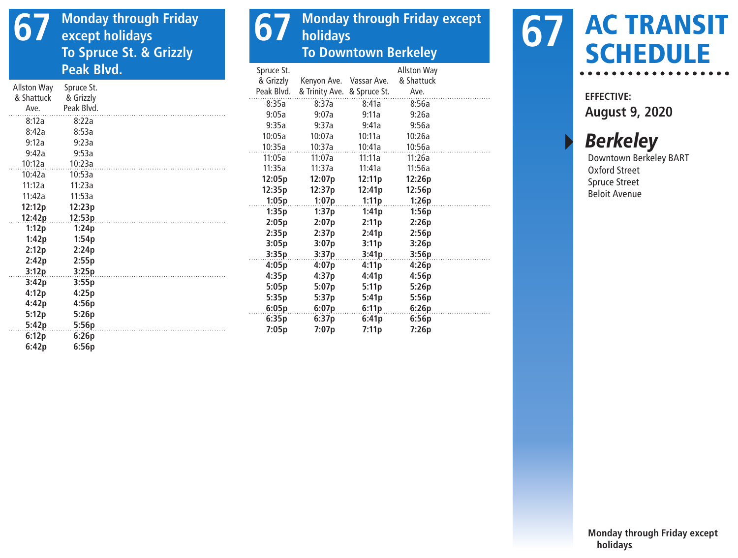## **67 Monday through Friday except holidays To Spruce St. & Grizzly Peak Blvd.**

|             |            | & Grizzly  | Kenyon Ave.                 | Vassar Ave. | & Shattuck |  |
|-------------|------------|------------|-----------------------------|-------------|------------|--|
| Allston Way | Spruce St. | Peak Blvd. | & Trinity Ave. & Spruce St. |             | Ave.       |  |
| & Shattuck  | & Grizzly  | 8:35a      | 8:37a                       | 8:41a       | 8:56a      |  |
| Ave.        | Peak Blvd. | 9:05a      | 9:07a                       | 9:11a       | 9:26a      |  |
| 8:12a       | 8:22a      | 9:35a      | 9:37a                       | 9:41a       | 9:56a      |  |
| 8:42a       | 8:53a      |            |                             |             |            |  |
| 9:12a       | 9:23a      | 10:05a     | 10:07a                      | 10:11a      | 10:26a     |  |
| 9:42a       | 9:53a      | 10:35a     | 10:37a                      | 10:41a      | 10:56a     |  |
| 10:12a      | 10:23a     | 11:05a     | 11:07a                      | 11:11a      | 11:26a     |  |
| 10:42a      | 10:53a     | 11:35a     | 11:37a                      | 11:41a      | 11:56a     |  |
| 11:12a      | 11:23a     | 12:05p     | 12:07p                      | 12:11p      | 12:26p     |  |
|             |            | 12:35p     | 12:37p                      | 12:41p      | 12:56p     |  |
| 11:42a      | 11:53a     | 1:05p      | 1:07p                       | 1:11p       | 1:26p      |  |
| 12:12p      | 12:23p     | 1:35p      | 1:37p                       | 1:41p       | 1:56p      |  |
| 12:42p      | 12:53p     | 2:05p      | 2:07p                       | 2:11p       | 2:26p      |  |
| 1:12p       | 1:24p      | 2:35p      | 2:37p                       | 2:41p       | 2:56p      |  |
| 1:42p       | 1:54p      | 3:05p      | 3:07p                       | 3:11p       | 3:26p      |  |
| 2:12p       | 2:24p      | 3:35p      | 3:37p                       | 3:41p       | 3:56p      |  |
| 2:42p       | 2:55p      |            |                             |             |            |  |
| 3:12p       | 3:25p      | 4:05p      | 4:07p                       | 4:11p       | 4:26p      |  |
| 3:42p       | 3:55p      | 4:35p      | 4:37p                       | 4:41p       | 4:56p      |  |
| 4:12p       | 4:25p      | 5:05p      | 5:07p                       | 5:11p       | 5:26p      |  |
| 4:42p       | 4:56p      | 5:35p      | 5:37p                       | 5:41p       | 5:56p      |  |
|             |            | 6:05p      | 6:07p                       | 6:11p       | 6:26p      |  |
| 5:12p       | 5:26p      | 6:35p      | 6:37p                       | 6:41p       | 6:56p      |  |
| 5:42p       | 5:56p      | 7:05p      | 7:07p                       | 7:11p       | 7:26p      |  |
| 6:12p       | 6:26p      |            |                             |             |            |  |

Spruce St.

**6:42p 6:56p**

**67** Monday through Friday except **holidays To Downtown Berkeley**

Allston Way

## AC TRANSIT **67 AC TRANSE**

**EFFECTIVE: August 9, 2020**

**Berkeley** 

Downtown Berkeley BART Oxford Street Spruce Street Beloit Avenue

**Monday through Friday except holidays**